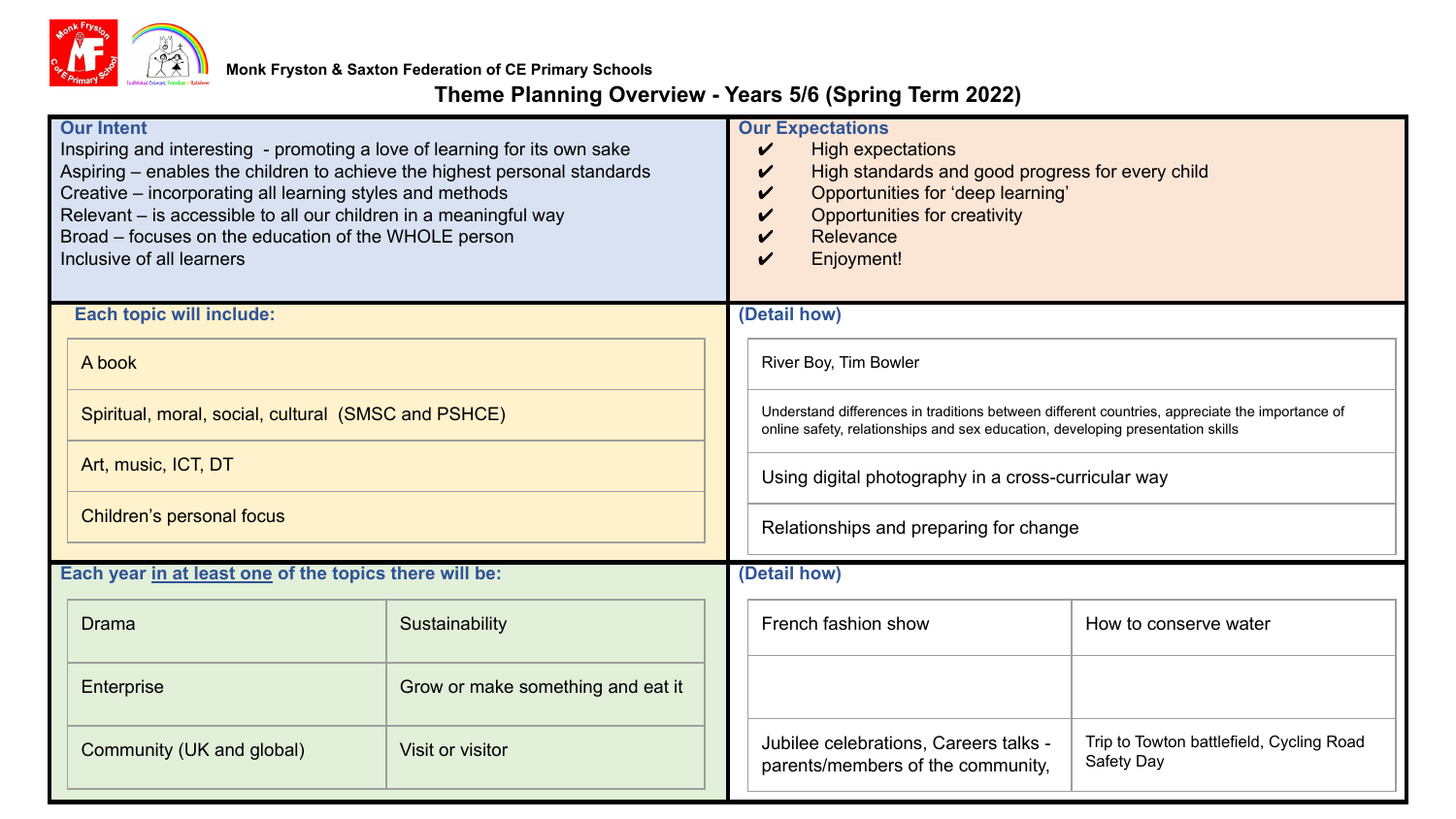

# **Theme Planning Overview - Years 5/6 (Spring Term 2022)**

| <b>Our Intent</b><br>Inspiring and interesting - promoting a love of learning for its own sake<br>Aspiring - enables the children to achieve the highest personal standards<br>Creative - incorporating all learning styles and methods<br>Relevant - is accessible to all our children in a meaningful way<br>Broad - focuses on the education of the WHOLE person<br>Inclusive of all learners |                                                     |                                   |  | <b>Our Expectations</b><br>High expectations<br>✓<br>High standards and good progress for every child<br>V<br>Opportunities for 'deep learning'<br>✓<br>Opportunities for creativity<br>✓<br>Relevance<br>Enjoyment!<br>✓ |                                                                            |                                                        |
|--------------------------------------------------------------------------------------------------------------------------------------------------------------------------------------------------------------------------------------------------------------------------------------------------------------------------------------------------------------------------------------------------|-----------------------------------------------------|-----------------------------------|--|---------------------------------------------------------------------------------------------------------------------------------------------------------------------------------------------------------------------------|----------------------------------------------------------------------------|--------------------------------------------------------|
|                                                                                                                                                                                                                                                                                                                                                                                                  | <b>Each topic will include:</b>                     |                                   |  | (Detail how)                                                                                                                                                                                                              |                                                                            |                                                        |
|                                                                                                                                                                                                                                                                                                                                                                                                  | A book                                              |                                   |  | River Boy, Tim Bowler                                                                                                                                                                                                     |                                                                            |                                                        |
|                                                                                                                                                                                                                                                                                                                                                                                                  | Spiritual, moral, social, cultural (SMSC and PSHCE) |                                   |  | Understand differences in traditions between different countries, appreciate the importance of<br>online safety, relationships and sex education, developing presentation skills                                          |                                                                            |                                                        |
|                                                                                                                                                                                                                                                                                                                                                                                                  | Art, music, ICT, DT                                 |                                   |  | Using digital photography in a cross-curricular way                                                                                                                                                                       |                                                                            |                                                        |
|                                                                                                                                                                                                                                                                                                                                                                                                  | Children's personal focus                           |                                   |  | Relationships and preparing for change                                                                                                                                                                                    |                                                                            |                                                        |
| Each year in at least one of the topics there will be:                                                                                                                                                                                                                                                                                                                                           |                                                     |                                   |  | (Detail how)                                                                                                                                                                                                              |                                                                            |                                                        |
|                                                                                                                                                                                                                                                                                                                                                                                                  | Drama                                               | Sustainability                    |  |                                                                                                                                                                                                                           | French fashion show                                                        | How to conserve water                                  |
|                                                                                                                                                                                                                                                                                                                                                                                                  | Enterprise                                          | Grow or make something and eat it |  |                                                                                                                                                                                                                           |                                                                            |                                                        |
|                                                                                                                                                                                                                                                                                                                                                                                                  | Community (UK and global)                           | Visit or visitor                  |  |                                                                                                                                                                                                                           | Jubilee celebrations, Careers talks -<br>parents/members of the community, | Trip to Towton battlefield, Cycling Road<br>Safety Day |